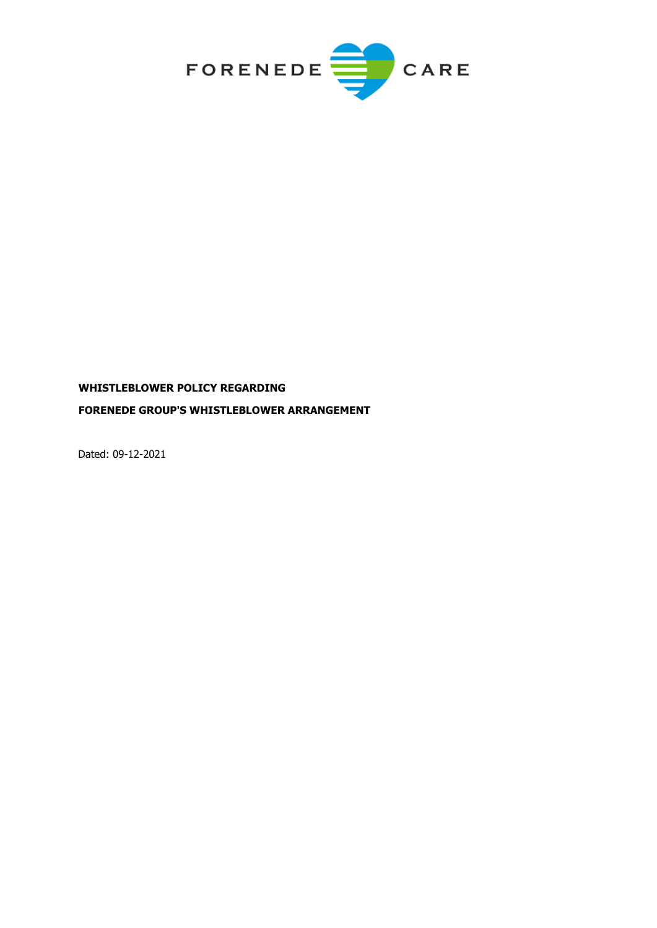

# **WHISTLEBLOWER POLICY REGARDING FORENEDE GROUP'S WHISTLEBLOWER ARRANGEMENT**

Dated: 09-12-2021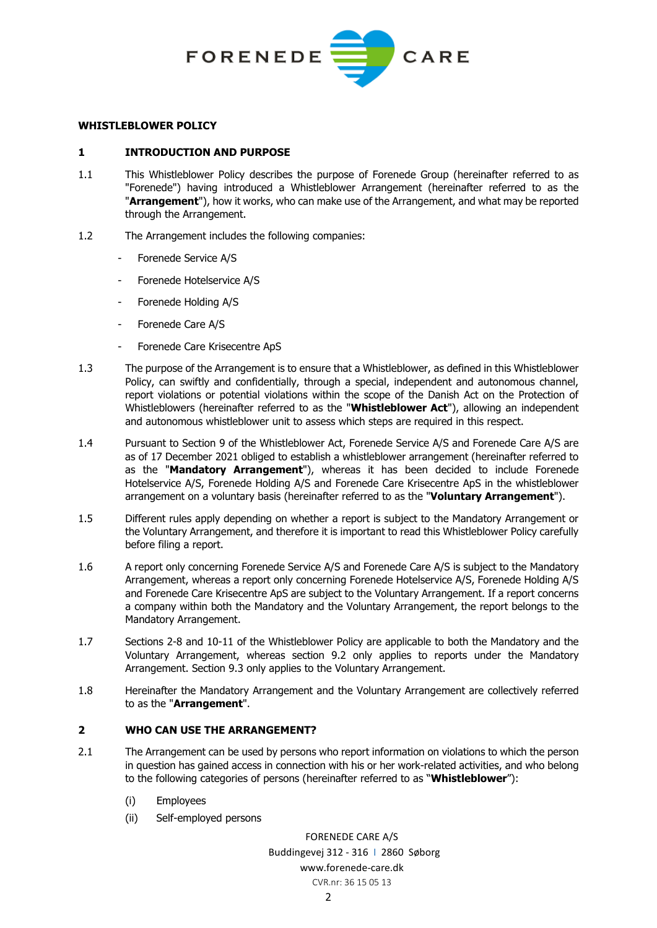

## **WHISTLEBLOWER POLICY**

## **1 INTRODUCTION AND PURPOSE**

- 1.1 This Whistleblower Policy describes the purpose of Forenede Group (hereinafter referred to as "Forenede") having introduced a Whistleblower Arrangement (hereinafter referred to as the "**Arrangement**"), how it works, who can make use of the Arrangement, and what may be reported through the Arrangement.
- 1.2 The Arrangement includes the following companies:
	- Forenede Service A/S
	- Forenede Hotelservice A/S
	- Forenede Holding A/S
	- Forenede Care A/S
	- Forenede Care Krisecentre ApS
- 1.3 The purpose of the Arrangement is to ensure that a Whistleblower, as defined in this Whistleblower Policy, can swiftly and confidentially, through a special, independent and autonomous channel, report violations or potential violations within the scope of the Danish Act on the Protection of Whistleblowers (hereinafter referred to as the "**Whistleblower Act**"), allowing an independent and autonomous whistleblower unit to assess which steps are required in this respect.
- 1.4 Pursuant to Section 9 of the Whistleblower Act, Forenede Service A/S and Forenede Care A/S are as of 17 December 2021 obliged to establish a whistleblower arrangement (hereinafter referred to as the "**Mandatory Arrangement**"), whereas it has been decided to include Forenede Hotelservice A/S, Forenede Holding A/S and Forenede Care Krisecentre ApS in the whistleblower arrangement on a voluntary basis (hereinafter referred to as the "**Voluntary Arrangement**").
- 1.5 Different rules apply depending on whether a report is subject to the Mandatory Arrangement or the Voluntary Arrangement, and therefore it is important to read this Whistleblower Policy carefully before filing a report.
- 1.6 A report only concerning Forenede Service A/S and Forenede Care A/S is subject to the Mandatory Arrangement, whereas a report only concerning Forenede Hotelservice A/S, Forenede Holding A/S and Forenede Care Krisecentre ApS are subject to the Voluntary Arrangement. If a report concerns a company within both the Mandatory and the Voluntary Arrangement, the report belongs to the Mandatory Arrangement.
- 1.7 Sections [2-](#page-1-0)[8](#page-5-0) and [10](#page-7-0)[-11](#page-7-1) of the Whistleblower Policy are applicable to both the Mandatory and the Voluntary Arrangement, whereas section [9.2](#page-5-1) only applies to reports under the Mandatory Arrangement. Section [9.3](#page-7-2) only applies to the Voluntary Arrangement.
- 1.8 Hereinafter the Mandatory Arrangement and the Voluntary Arrangement are collectively referred to as the "**Arrangement**".

# <span id="page-1-0"></span>**2 WHO CAN USE THE ARRANGEMENT?**

- <span id="page-1-1"></span>2.1 The Arrangement can be used by persons who report information on violations to which the person in question has gained access in connection with his or her work-related activities, and who belong to the following categories of persons (hereinafter referred to as "**Whistleblower**"):
	- (i) Employees
	- (ii) Self-employed persons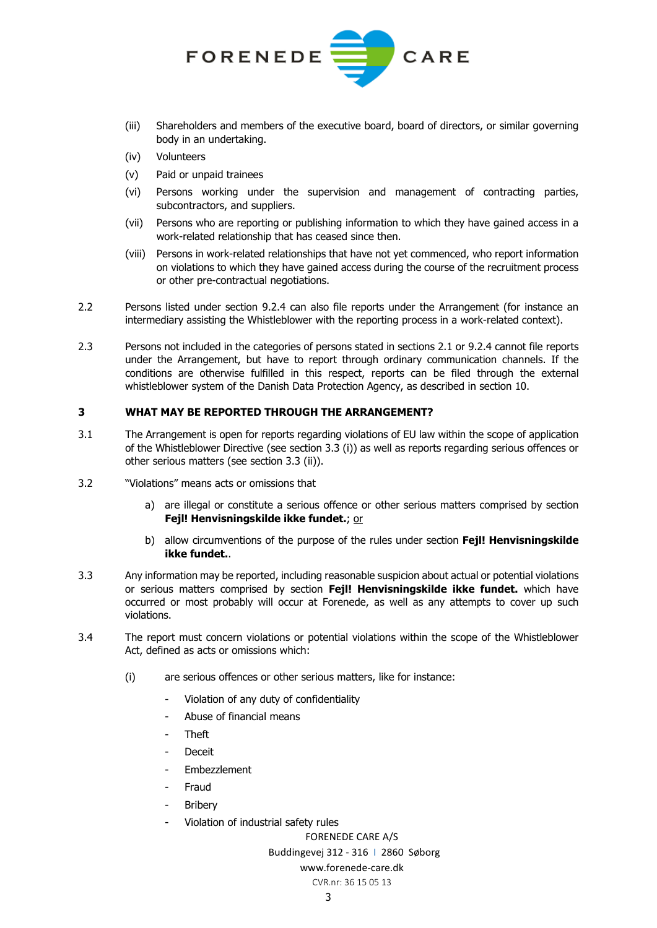

- (iii) Shareholders and members of the executive board, board of directors, or similar governing body in an undertaking.
- (iv) Volunteers
- (v) Paid or unpaid trainees
- (vi) Persons working under the supervision and management of contracting parties, subcontractors, and suppliers.
- (vii) Persons who are reporting or publishing information to which they have gained access in a work-related relationship that has ceased since then.
- (viii) Persons in work-related relationships that have not yet commenced, who report information on violations to which they have gained access during the course of the recruitment process or other pre-contractual negotiations.
- 2.2 Persons listed under section [9.2.4](#page-6-0) can also file reports under the Arrangement (for instance an intermediary assisting the Whistleblower with the reporting process in a work-related context).
- 2.3 Persons not included in the categories of persons stated in sections [2.1](#page-1-1) or [9.2.4](#page-6-0) cannot file reports under the Arrangement, but have to report through ordinary communication channels. If the conditions are otherwise fulfilled in this respect, reports can be filed through the external whistleblower system of the Danish Data Protection Agency, as described in section [10.](#page-7-0)

## **3 WHAT MAY BE REPORTED THROUGH THE ARRANGEMENT?**

- 3.1 The Arrangement is open for reports regarding violations of EU law within the scope of application of the Whistleblower Directive (see section [3.3](#page-2-0) (i)) as well as reports regarding serious offences or other serious matters (see section [3.3](#page-2-0) (ii)).
- 3.2 "Violations" means acts or omissions that
	- a) are illegal or constitute a serious offence or other serious matters comprised by section **Fejl! Henvisningskilde ikke fundet.**; or
	- b) allow circumventions of the purpose of the rules under section **Fejl! Henvisningskilde ikke fundet.**.
- <span id="page-2-0"></span>3.3 Any information may be reported, including reasonable suspicion about actual or potential violations or serious matters comprised by section **Fejl! Henvisningskilde ikke fundet.** which have occurred or most probably will occur at Forenede, as well as any attempts to cover up such violations.
- <span id="page-2-1"></span>3.4 The report must concern violations or potential violations within the scope of the Whistleblower Act, defined as acts or omissions which:
	- (i) are serious offences or other serious matters, like for instance:
		- Violation of any duty of confidentiality
		- Abuse of financial means
		- Theft
		- **Deceit**
		- **Embezzlement**
		- **Fraud**
		- **Bribery**
		- Violation of industrial safety rules

FORENEDE CARE A/S

## Buddingevej 312 - 316 I 2860 Søborg

# www.forenede-care.dk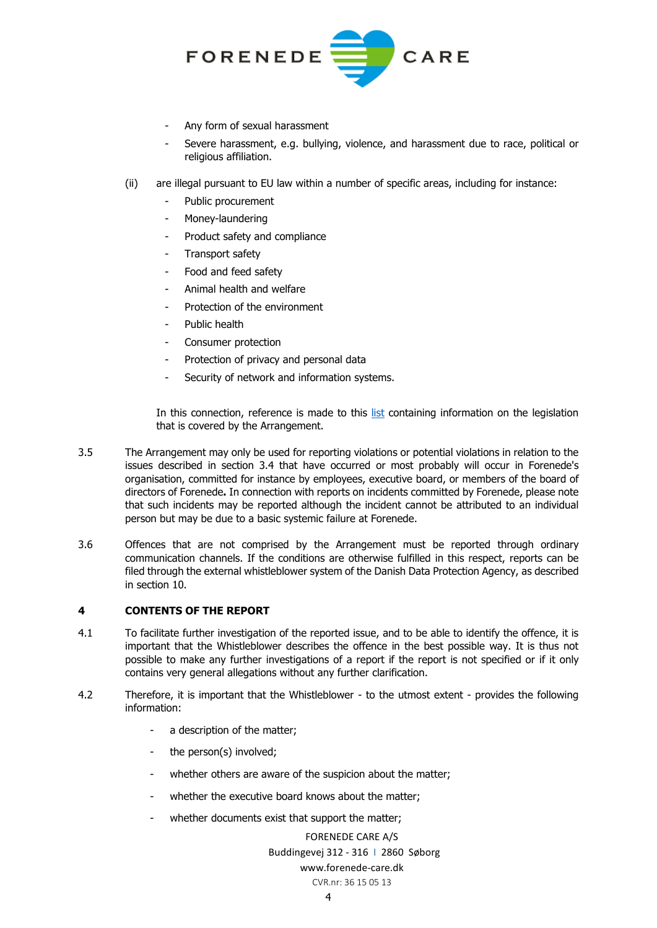

- Any form of sexual harassment
- Severe harassment, e.g. bullying, violence, and harassment due to race, political or religious affiliation.
- (ii) are illegal pursuant to EU law within a number of specific areas, including for instance:
	- Public procurement
	- Money-laundering
	- Product safety and compliance
	- Transport safety
	- Food and feed safety
	- Animal health and welfare
	- Protection of the environment
	- Public health
	- Consumer protection
	- Protection of privacy and personal data
	- Security of network and information systems.

In this connection, reference is made to this [list](https://www.plesner.com/%7E/media/plesnerdocuments/whistleblower/Whistleblower%20-%20Oversigt%20over%20implementeringslovgivning) containing information on the legislation that is covered by the Arrangement.

- 3.5 The Arrangement may only be used for reporting violations or potential violations in relation to the issues described in section [3.4](#page-2-1) that have occurred or most probably will occur in Forenede's organisation, committed for instance by employees, executive board, or members of the board of directors of Forenede**.** In connection with reports on incidents committed by Forenede, please note that such incidents may be reported although the incident cannot be attributed to an individual person but may be due to a basic systemic failure at Forenede.
- 3.6 Offences that are not comprised by the Arrangement must be reported through ordinary communication channels. If the conditions are otherwise fulfilled in this respect, reports can be filed through the external whistleblower system of the Danish Data Protection Agency, as described in section [10.](#page-7-0)

## **4 CONTENTS OF THE REPORT**

- 4.1 To facilitate further investigation of the reported issue, and to be able to identify the offence, it is important that the Whistleblower describes the offence in the best possible way. It is thus not possible to make any further investigations of a report if the report is not specified or if it only contains very general allegations without any further clarification.
- 4.2 Therefore, it is important that the Whistleblower to the utmost extent provides the following information:
	- a description of the matter;
	- the person(s) involved;
	- whether others are aware of the suspicion about the matter;
	- whether the executive board knows about the matter;
	- whether documents exist that support the matter;

#### FORENEDE CARE A/S

## Buddingevej 312 - 316 I 2860 Søborg

# www.forenede-care.dk

#### CVR.nr: 36 15 05 13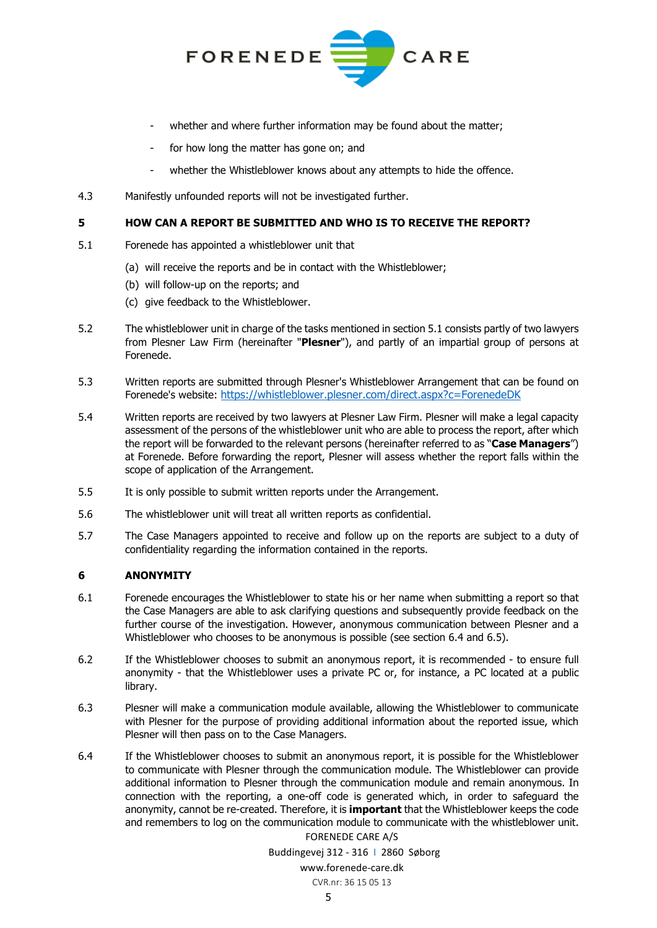

- whether and where further information may be found about the matter;
- for how long the matter has gone on; and
- whether the Whistleblower knows about any attempts to hide the offence.
- 4.3 Manifestly unfounded reports will not be investigated further.

#### **5 HOW CAN A REPORT BE SUBMITTED AND WHO IS TO RECEIVE THE REPORT?**

- <span id="page-4-0"></span>5.1 Forenede has appointed a whistleblower unit that
	- (a) will receive the reports and be in contact with the Whistleblower;
	- (b) will follow-up on the reports; and
	- (c) give feedback to the Whistleblower.
- 5.2 The whistleblower unit in charge of the tasks mentioned in section [5.1](#page-4-0) consists partly of two lawyers from Plesner Law Firm (hereinafter "**Plesner**"), and partly of an impartial group of persons at Forenede.
- <span id="page-4-2"></span>5.3 Written reports are submitted through Plesner's Whistleblower Arrangement that can be found on Forenede's website:<https://whistleblower.plesner.com/direct.aspx?c=ForenedeDK>
- 5.4 Written reports are received by two lawyers at Plesner Law Firm. Plesner will make a legal capacity assessment of the persons of the whistleblower unit who are able to process the report, after which the report will be forwarded to the relevant persons (hereinafter referred to as "**Case Managers**") at Forenede. Before forwarding the report, Plesner will assess whether the report falls within the scope of application of the Arrangement.
- 5.5 It is only possible to submit written reports under the Arrangement.
- 5.6 The whistleblower unit will treat all written reports as confidential.
- 5.7 The Case Managers appointed to receive and follow up on the reports are subject to a duty of confidentiality regarding the information contained in the reports.

## **6 ANONYMITY**

- 6.1 Forenede encourages the Whistleblower to state his or her name when submitting a report so that the Case Managers are able to ask clarifying questions and subsequently provide feedback on the further course of the investigation. However, anonymous communication between Plesner and a Whistleblower who chooses to be anonymous is possible (see section [6.4](#page-4-1) and [6.5\)](#page-5-2).
- 6.2 If the Whistleblower chooses to submit an anonymous report, it is recommended to ensure full anonymity - that the Whistleblower uses a private PC or, for instance, a PC located at a public library.
- 6.3 Plesner will make a communication module available, allowing the Whistleblower to communicate with Plesner for the purpose of providing additional information about the reported issue, which Plesner will then pass on to the Case Managers.
- <span id="page-4-1"></span>FORENEDE CARE A/S 6.4 If the Whistleblower chooses to submit an anonymous report, it is possible for the Whistleblower to communicate with Plesner through the communication module. The Whistleblower can provide additional information to Plesner through the communication module and remain anonymous. In connection with the reporting, a one-off code is generated which, in order to safeguard the anonymity, cannot be re-created. Therefore, it is **important** that the Whistleblower keeps the code and remembers to log on the communication module to communicate with the whistleblower unit.

Buddingevej 312 - 316 I 2860 Søborg www.forenede-care.dk CVR.nr: 36 15 05 13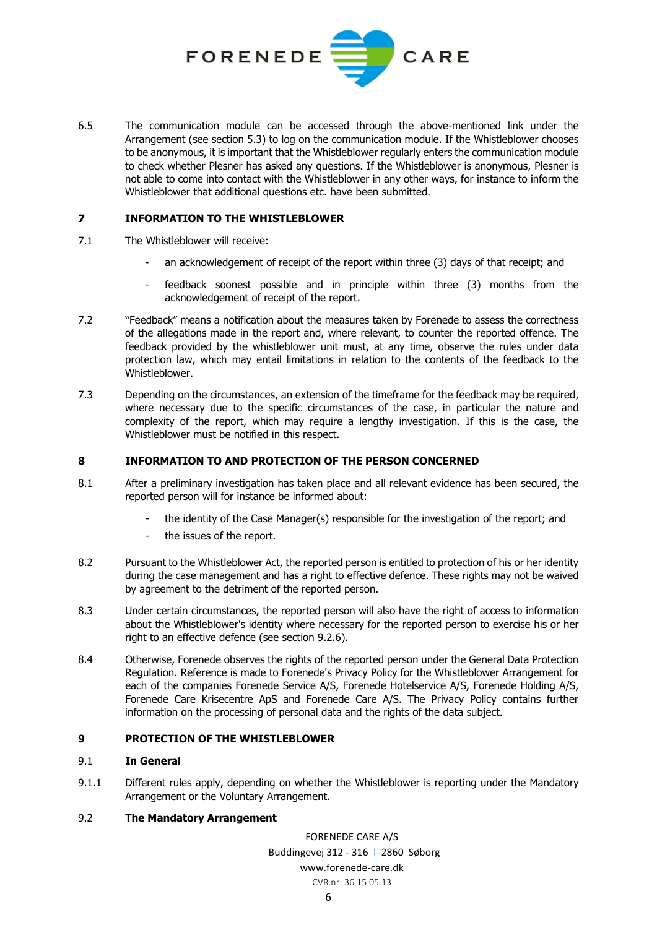

<span id="page-5-2"></span>6.5 The communication module can be accessed through the above-mentioned link under the Arrangement (see section [5.3\)](#page-4-2) to log on the communication module. If the Whistleblower chooses to be anonymous, it is important that the Whistleblower regularly enters the communication module to check whether Plesner has asked any questions. If the Whistleblower is anonymous, Plesner is not able to come into contact with the Whistleblower in any other ways, for instance to inform the Whistleblower that additional questions etc. have been submitted.

## **7 INFORMATION TO THE WHISTLEBLOWER**

- 7.1 The Whistleblower will receive:
	- an acknowledgement of receipt of the report within three (3) days of that receipt; and
	- feedback soonest possible and in principle within three (3) months from the acknowledgement of receipt of the report.
- 7.2 "Feedback" means a notification about the measures taken by Forenede to assess the correctness of the allegations made in the report and, where relevant, to counter the reported offence. The feedback provided by the whistleblower unit must, at any time, observe the rules under data protection law, which may entail limitations in relation to the contents of the feedback to the Whistleblower.
- 7.3 Depending on the circumstances, an extension of the timeframe for the feedback may be required, where necessary due to the specific circumstances of the case, in particular the nature and complexity of the report, which may require a lengthy investigation. If this is the case, the Whistleblower must be notified in this respect.

## <span id="page-5-0"></span>**8 INFORMATION TO AND PROTECTION OF THE PERSON CONCERNED**

- 8.1 After a preliminary investigation has taken place and all relevant evidence has been secured, the reported person will for instance be informed about:
	- the identity of the Case Manager(s) responsible for the investigation of the report; and
	- the issues of the report.
- 8.2 Pursuant to the Whistleblower Act, the reported person is entitled to protection of his or her identity during the case management and has a right to effective defence. These rights may not be waived by agreement to the detriment of the reported person.
- <span id="page-5-3"></span>8.3 Under certain circumstances, the reported person will also have the right of access to information about the Whistleblower's identity where necessary for the reported person to exercise his or her right to an effective defence (see section [9.2.6\)](#page-6-1).
- 8.4 Otherwise, Forenede observes the rights of the reported person under the General Data Protection Regulation. Reference is made to Forenede's Privacy Policy for the Whistleblower Arrangement for each of the companies Forenede Service A/S, Forenede Hotelservice A/S, Forenede Holding A/S, Forenede Care Krisecentre ApS and Forenede Care A/S. The Privacy Policy contains further information on the processing of personal data and the rights of the data subject.

## **9 PROTECTION OF THE WHISTLEBLOWER**

## 9.1 **In General**

9.1.1 Different rules apply, depending on whether the Whistleblower is reporting under the Mandatory Arrangement or the Voluntary Arrangement.

# <span id="page-5-1"></span>9.2 **The Mandatory Arrangement**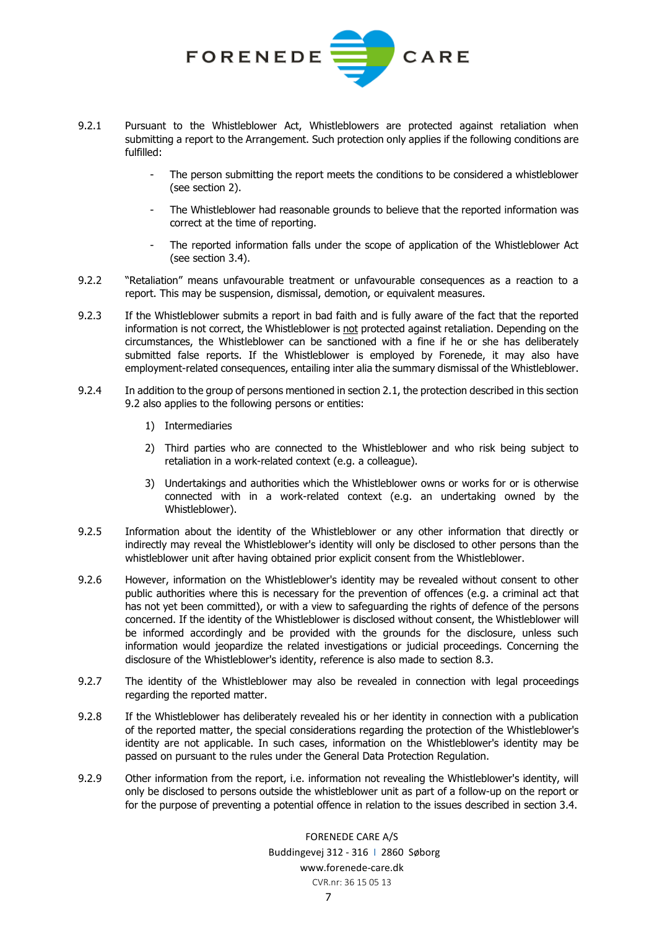

- 9.2.1 Pursuant to the Whistleblower Act, Whistleblowers are protected against retaliation when submitting a report to the Arrangement. Such protection only applies if the following conditions are fulfilled:
	- The person submitting the report meets the conditions to be considered a whistleblower (see section [2\)](#page-1-0).
	- The Whistleblower had reasonable grounds to believe that the reported information was correct at the time of reporting.
	- The reported information falls under the scope of application of the Whistleblower Act (see section [3.4\)](#page-2-1).
- <span id="page-6-2"></span>9.2.2 "Retaliation" means unfavourable treatment or unfavourable consequences as a reaction to a report. This may be suspension, dismissal, demotion, or equivalent measures.
- 9.2.3 If the Whistleblower submits a report in bad faith and is fully aware of the fact that the reported information is not correct, the Whistleblower is not protected against retaliation. Depending on the circumstances, the Whistleblower can be sanctioned with a fine if he or she has deliberately submitted false reports. If the Whistleblower is employed by Forenede, it may also have employment-related consequences, entailing inter alia the summary dismissal of the Whistleblower.
- <span id="page-6-0"></span>9.2.4 In addition to the group of persons mentioned in section [2.1,](#page-1-1) the protection described in this section [9.2](#page-5-1) also applies to the following persons or entities:
	- 1) Intermediaries
	- 2) Third parties who are connected to the Whistleblower and who risk being subject to retaliation in a work-related context (e.g. a colleague).
	- 3) Undertakings and authorities which the Whistleblower owns or works for or is otherwise connected with in a work-related context (e.g. an undertaking owned by the Whistleblower).
- 9.2.5 Information about the identity of the Whistleblower or any other information that directly or indirectly may reveal the Whistleblower's identity will only be disclosed to other persons than the whistleblower unit after having obtained prior explicit consent from the Whistleblower.
- <span id="page-6-1"></span>9.2.6 However, information on the Whistleblower's identity may be revealed without consent to other public authorities where this is necessary for the prevention of offences (e.g. a criminal act that has not yet been committed), or with a view to safeguarding the rights of defence of the persons concerned. If the identity of the Whistleblower is disclosed without consent, the Whistleblower will be informed accordingly and be provided with the grounds for the disclosure, unless such information would jeopardize the related investigations or judicial proceedings. Concerning the disclosure of the Whistleblower's identity, reference is also made to section [8.3.](#page-5-3)
- 9.2.7 The identity of the Whistleblower may also be revealed in connection with legal proceedings regarding the reported matter.
- 9.2.8 If the Whistleblower has deliberately revealed his or her identity in connection with a publication of the reported matter, the special considerations regarding the protection of the Whistleblower's identity are not applicable. In such cases, information on the Whistleblower's identity may be passed on pursuant to the rules under the General Data Protection Regulation.
- 9.2.9 Other information from the report, i.e. information not revealing the Whistleblower's identity, will only be disclosed to persons outside the whistleblower unit as part of a follow-up on the report or for the purpose of preventing a potential offence in relation to the issues described in section [3.4.](#page-2-1)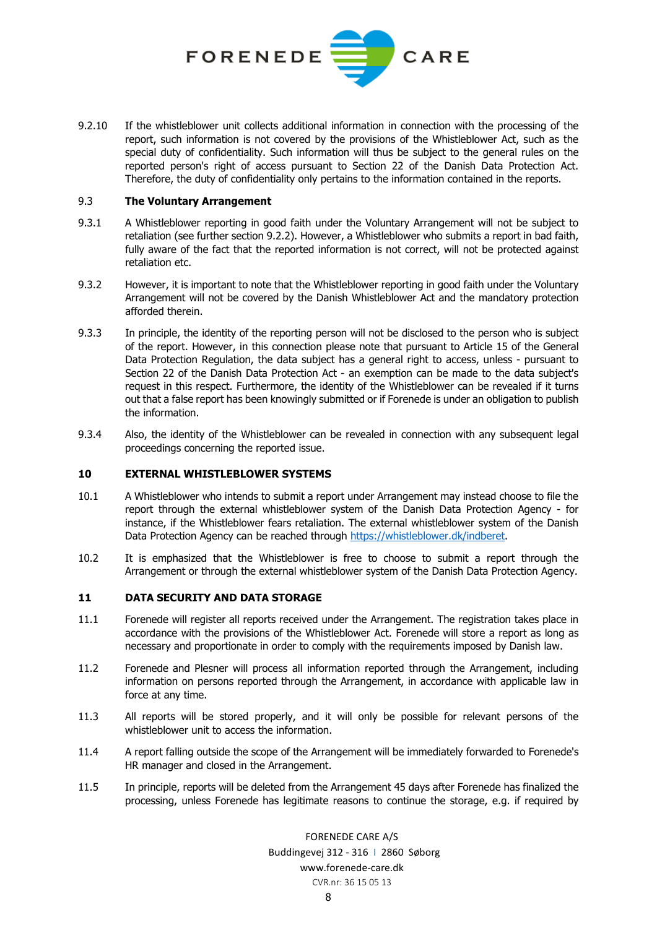

9.2.10 If the whistleblower unit collects additional information in connection with the processing of the report, such information is not covered by the provisions of the Whistleblower Act, such as the special duty of confidentiality. Such information will thus be subject to the general rules on the reported person's right of access pursuant to Section 22 of the Danish Data Protection Act. Therefore, the duty of confidentiality only pertains to the information contained in the reports.

#### <span id="page-7-2"></span>9.3 **The Voluntary Arrangement**

- 9.3.1 A Whistleblower reporting in good faith under the Voluntary Arrangement will not be subject to retaliation (see further section [9.2.2\)](#page-6-2). However, a Whistleblower who submits a report in bad faith, fully aware of the fact that the reported information is not correct, will not be protected against retaliation etc.
- 9.3.2 However, it is important to note that the Whistleblower reporting in good faith under the Voluntary Arrangement will not be covered by the Danish Whistleblower Act and the mandatory protection afforded therein.
- 9.3.3 In principle, the identity of the reporting person will not be disclosed to the person who is subject of the report. However, in this connection please note that pursuant to Article 15 of the General Data Protection Regulation, the data subject has a general right to access, unless - pursuant to Section 22 of the Danish Data Protection Act - an exemption can be made to the data subject's request in this respect. Furthermore, the identity of the Whistleblower can be revealed if it turns out that a false report has been knowingly submitted or if Forenede is under an obligation to publish the information.
- 9.3.4 Also, the identity of the Whistleblower can be revealed in connection with any subsequent legal proceedings concerning the reported issue.

#### <span id="page-7-0"></span>**10 EXTERNAL WHISTLEBLOWER SYSTEMS**

- 10.1 A Whistleblower who intends to submit a report under Arrangement may instead choose to file the report through the external whistleblower system of the Danish Data Protection Agency - for instance, if the Whistleblower fears retaliation. The external whistleblower system of the Danish Data Protection Agency can be reached through [https://whistleblower.dk/indberet.](https://whistleblower.dk/indberet)
- 10.2 It is emphasized that the Whistleblower is free to choose to submit a report through the Arrangement or through the external whistleblower system of the Danish Data Protection Agency.

## <span id="page-7-1"></span>**11 DATA SECURITY AND DATA STORAGE**

- 11.1 Forenede will register all reports received under the Arrangement. The registration takes place in accordance with the provisions of the Whistleblower Act. Forenede will store a report as long as necessary and proportionate in order to comply with the requirements imposed by Danish law.
- 11.2 Forenede and Plesner will process all information reported through the Arrangement, including information on persons reported through the Arrangement, in accordance with applicable law in force at any time.
- 11.3 All reports will be stored properly, and it will only be possible for relevant persons of the whistleblower unit to access the information.
- 11.4 A report falling outside the scope of the Arrangement will be immediately forwarded to Forenede's HR manager and closed in the Arrangement.
- 11.5 In principle, reports will be deleted from the Arrangement 45 days after Forenede has finalized the processing, unless Forenede has legitimate reasons to continue the storage, e.g. if required by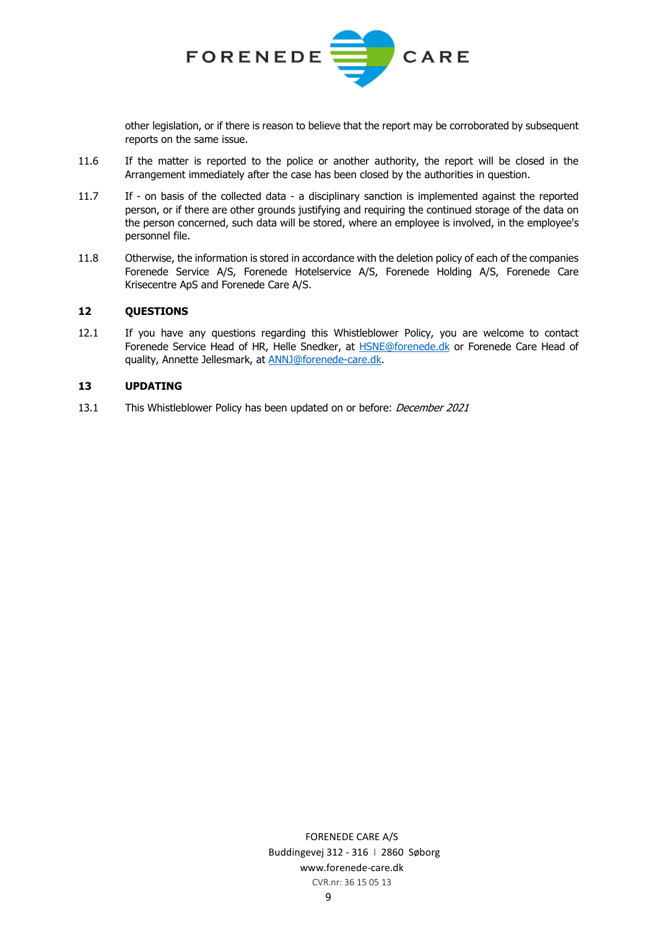

other legislation, or if there is reason to believe that the report may be corroborated by subsequent reports on the same issue.

- 11.6 If the matter is reported to the police or another authority, the report will be closed in the Arrangement immediately after the case has been closed by the authorities in question.
- 11.7 If on basis of the collected data a disciplinary sanction is implemented against the reported person, or if there are other grounds justifying and requiring the continued storage of the data on the person concerned, such data will be stored, where an employee is involved, in the employee's personnel file.
- 11.8 Otherwise, the information is stored in accordance with the deletion policy of each of the companies Forenede Service A/S, Forenede Hotelservice A/S, Forenede Holding A/S, Forenede Care Krisecentre ApS and Forenede Care A/S.

## **12 QUESTIONS**

12.1 If you have any questions regarding this Whistleblower Policy, you are welcome to contact Forenede Service Head of HR, Helle Snedker, at [HSNE@forenede.dk](mailto:HSNE@forenede.dk) or Forenede Care Head of quality, Annette Jellesmark, at **ANNJ@forenede-care.dk**.

#### **13 UPDATING**

13.1 This Whistleblower Policy has been updated on or before: *December 2021*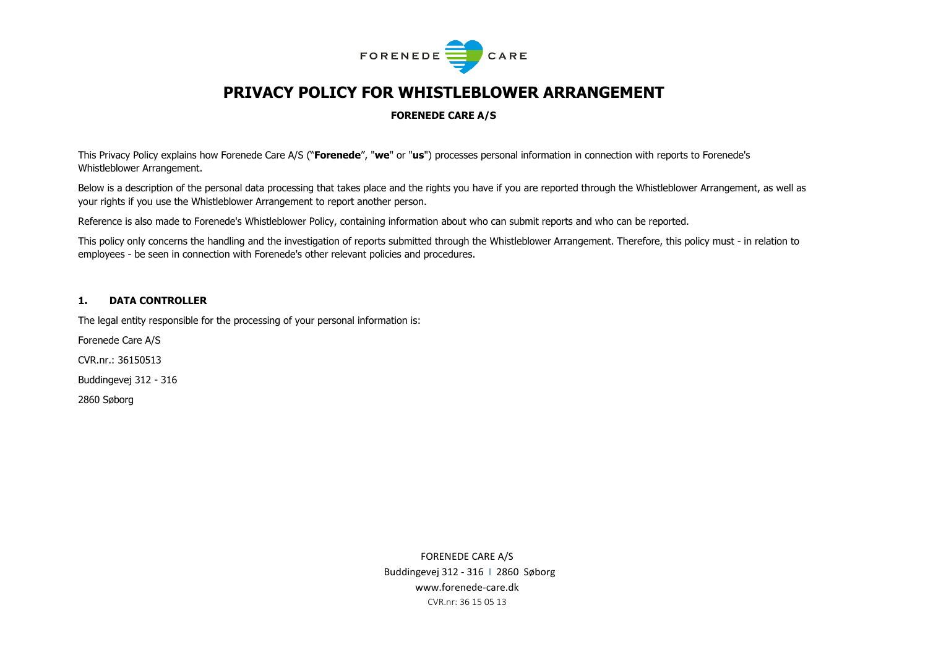

# **PRIVACY POLICY FOR WHISTLEBLOWER ARRANGEMENT**

#### **FORENEDE CARE A/S**

This Privacy Policy explains how Forenede Care A/S ("**Forenede**", "**we**" or "**us**") processes personal information in connection with reports to Forenede's Whistleblower Arrangement.

Below is a description of the personal data processing that takes place and the rights you have if you are reported through the Whistleblower Arrangement, as well as your rights if you use the Whistleblower Arrangement to report another person.

Reference is also made to Forenede's Whistleblower Policy, containing information about who can submit reports and who can be reported.

This policy only concerns the handling and the investigation of reports submitted through the Whistleblower Arrangement. Therefore, this policy must - in relation to employees - be seen in connection with Forenede's other relevant policies and procedures.

#### **1. DATA CONTROLLER**

The legal entity responsible for the processing of your personal information is:

Forenede Care A/S

CVR.nr.: 36150513

Buddingevej 312 - 316

2860 Søborg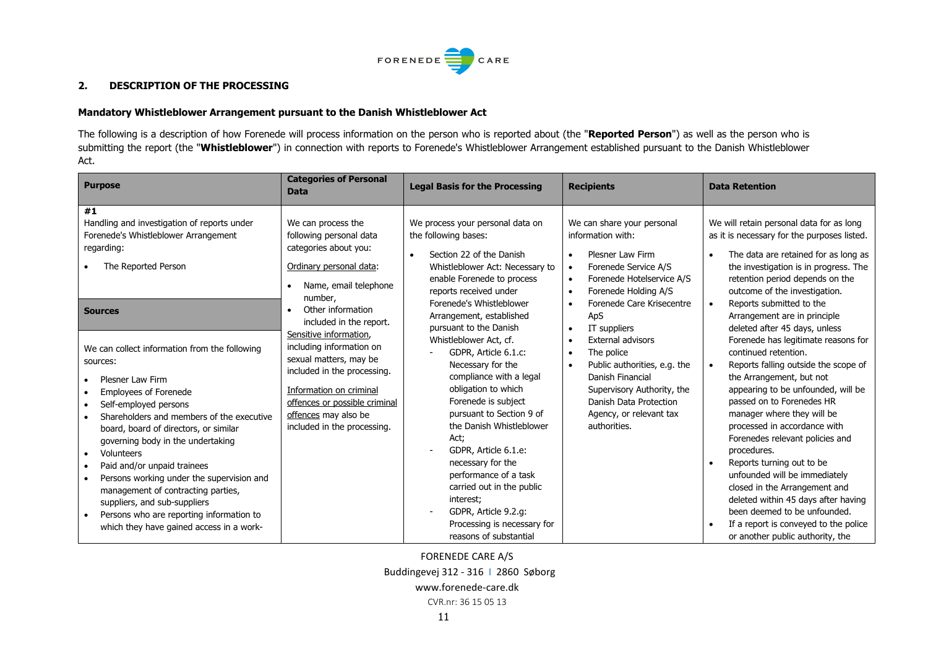

## **2. DESCRIPTION OF THE PROCESSING**

#### **Mandatory Whistleblower Arrangement pursuant to the Danish Whistleblower Act**

The following is a description of how Forenede will process information on the person who is reported about (the "**Reported Person**") as well as the person who is submitting the report (the "**Whistleblower**") in connection with reports to Forenede's Whistleblower Arrangement established pursuant to the Danish Whistleblower Act.

| <b>Purpose</b>                                                                                                                                                                                                                                                                                                                                                                                                                                                                                                                                                                | <b>Categories of Personal</b><br><b>Data</b>                                                                                                                                                                                   | <b>Legal Basis for the Processing</b>                                                                                                                                                                                                                                                                                                                                                                         | <b>Recipients</b>                                                                                                                                                                                                                    | <b>Data Retention</b>                                                                                                                                                                                                                                                                                                                                                                                                                                                                                                                                                 |
|-------------------------------------------------------------------------------------------------------------------------------------------------------------------------------------------------------------------------------------------------------------------------------------------------------------------------------------------------------------------------------------------------------------------------------------------------------------------------------------------------------------------------------------------------------------------------------|--------------------------------------------------------------------------------------------------------------------------------------------------------------------------------------------------------------------------------|---------------------------------------------------------------------------------------------------------------------------------------------------------------------------------------------------------------------------------------------------------------------------------------------------------------------------------------------------------------------------------------------------------------|--------------------------------------------------------------------------------------------------------------------------------------------------------------------------------------------------------------------------------------|-----------------------------------------------------------------------------------------------------------------------------------------------------------------------------------------------------------------------------------------------------------------------------------------------------------------------------------------------------------------------------------------------------------------------------------------------------------------------------------------------------------------------------------------------------------------------|
| #1<br>Handling and investigation of reports under<br>Forenede's Whistleblower Arrangement<br>regarding:<br>The Reported Person                                                                                                                                                                                                                                                                                                                                                                                                                                                | We can process the<br>following personal data<br>categories about you:<br>Ordinary personal data:<br>Name, email telephone<br>number,                                                                                          | We process your personal data on<br>the following bases:<br>Section 22 of the Danish<br>Whistleblower Act: Necessary to<br>enable Forenede to process<br>reports received under                                                                                                                                                                                                                               | We can share your personal<br>information with:<br>Plesner Law Firm<br>$\bullet$<br>Forenede Service A/S<br>$\bullet$<br>Forenede Hotelservice A/S<br>$\bullet$<br>Forenede Holding A/S<br>$\bullet$                                 | We will retain personal data for as long<br>as it is necessary for the purposes listed.<br>The data are retained for as long as<br>$\bullet$<br>the investigation is in progress. The<br>retention period depends on the<br>outcome of the investigation.                                                                                                                                                                                                                                                                                                             |
| <b>Sources</b>                                                                                                                                                                                                                                                                                                                                                                                                                                                                                                                                                                | Other information<br>included in the report.                                                                                                                                                                                   | Forenede's Whistleblower<br>Arrangement, established<br>pursuant to the Danish                                                                                                                                                                                                                                                                                                                                | Forenede Care Krisecentre<br>$\bullet$<br>ApS<br>IT suppliers<br>$\bullet$                                                                                                                                                           | Reports submitted to the<br>$\bullet$<br>Arrangement are in principle<br>deleted after 45 days, unless                                                                                                                                                                                                                                                                                                                                                                                                                                                                |
| We can collect information from the following<br>sources:<br>Plesner Law Firm<br>$\bullet$<br><b>Employees of Forenede</b><br>Self-employed persons<br>$\bullet$<br>Shareholders and members of the executive<br>board, board of directors, or similar<br>governing body in the undertaking<br>Volunteers<br>$\bullet$<br>Paid and/or unpaid trainees<br>$\bullet$<br>Persons working under the supervision and<br>management of contracting parties,<br>suppliers, and sub-suppliers<br>Persons who are reporting information to<br>which they have gained access in a work- | Sensitive information,<br>including information on<br>sexual matters, may be<br>included in the processing.<br>Information on criminal<br>offences or possible criminal<br>offences may also be<br>included in the processing. | Whistleblower Act, cf.<br>GDPR, Article 6.1.c:<br>Necessary for the<br>compliance with a legal<br>obligation to which<br>Forenede is subject<br>pursuant to Section 9 of<br>the Danish Whistleblower<br>Act;<br>GDPR, Article 6.1.e:<br>necessary for the<br>performance of a task<br>carried out in the public<br>interest;<br>GDPR, Article 9.2.g:<br>Processing is necessary for<br>reasons of substantial | <b>External advisors</b><br>$\bullet$<br>The police<br>$\bullet$<br>Public authorities, e.g. the<br>$\bullet$<br>Danish Financial<br>Supervisory Authority, the<br>Danish Data Protection<br>Agency, or relevant tax<br>authorities. | Forenede has legitimate reasons for<br>continued retention.<br>Reports falling outside the scope of<br>the Arrangement, but not<br>appearing to be unfounded, will be<br>passed on to Forenedes HR<br>manager where they will be<br>processed in accordance with<br>Forenedes relevant policies and<br>procedures.<br>Reports turning out to be<br>unfounded will be immediately<br>closed in the Arrangement and<br>deleted within 45 days after having<br>been deemed to be unfounded.<br>If a report is conveyed to the police<br>or another public authority, the |

FORENEDE CARE A/S Buddingevej 312 - 316 I 2860 Søborg

www.forenede-care.dk

CVR.nr: 36 15 05 13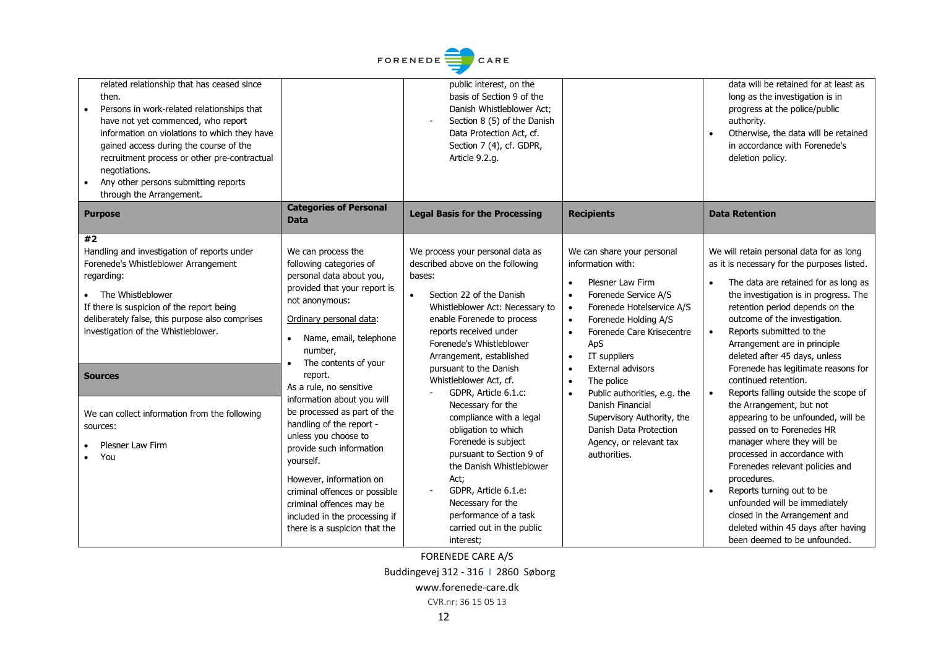

| related relationship that has ceased since<br>then.<br>Persons in work-related relationships that<br>have not yet commenced, who report<br>information on violations to which they have<br>gained access during the course of the<br>recruitment process or other pre-contractual<br>negotiations.<br>Any other persons submitting reports<br>through the Arrangement.        |                                                                                                                                                                                                                                                                                                                                                                                                                                                                                                                                                                                            | public interest, on the<br>basis of Section 9 of the<br>Danish Whistleblower Act;<br>Section 8 (5) of the Danish<br>Data Protection Act, cf.<br>Section 7 (4), cf. GDPR,<br>Article 9.2.g.                                                                                                                                                                                                                                                                                                                                                                                                                                           |                                                                                                                                                                                                                                                                                                                                                                                                                                                                                                                     | data will be retained for at least as<br>long as the investigation is in<br>progress at the police/public<br>authority.<br>Otherwise, the data will be retained<br>in accordance with Forenede's<br>deletion policy.                                                                                                                                                                                                                                                                                                                                                                                                                                                                                                                                                                                                                               |
|-------------------------------------------------------------------------------------------------------------------------------------------------------------------------------------------------------------------------------------------------------------------------------------------------------------------------------------------------------------------------------|--------------------------------------------------------------------------------------------------------------------------------------------------------------------------------------------------------------------------------------------------------------------------------------------------------------------------------------------------------------------------------------------------------------------------------------------------------------------------------------------------------------------------------------------------------------------------------------------|--------------------------------------------------------------------------------------------------------------------------------------------------------------------------------------------------------------------------------------------------------------------------------------------------------------------------------------------------------------------------------------------------------------------------------------------------------------------------------------------------------------------------------------------------------------------------------------------------------------------------------------|---------------------------------------------------------------------------------------------------------------------------------------------------------------------------------------------------------------------------------------------------------------------------------------------------------------------------------------------------------------------------------------------------------------------------------------------------------------------------------------------------------------------|----------------------------------------------------------------------------------------------------------------------------------------------------------------------------------------------------------------------------------------------------------------------------------------------------------------------------------------------------------------------------------------------------------------------------------------------------------------------------------------------------------------------------------------------------------------------------------------------------------------------------------------------------------------------------------------------------------------------------------------------------------------------------------------------------------------------------------------------------|
| <b>Purpose</b>                                                                                                                                                                                                                                                                                                                                                                | <b>Categories of Personal</b><br><b>Data</b>                                                                                                                                                                                                                                                                                                                                                                                                                                                                                                                                               | <b>Legal Basis for the Processing</b>                                                                                                                                                                                                                                                                                                                                                                                                                                                                                                                                                                                                | <b>Recipients</b>                                                                                                                                                                                                                                                                                                                                                                                                                                                                                                   | <b>Data Retention</b>                                                                                                                                                                                                                                                                                                                                                                                                                                                                                                                                                                                                                                                                                                                                                                                                                              |
| #2<br>Handling and investigation of reports under<br>Forenede's Whistleblower Arrangement<br>regarding:<br>The Whistleblower<br>If there is suspicion of the report being<br>deliberately false, this purpose also comprises<br>investigation of the Whistleblower.<br><b>Sources</b><br>We can collect information from the following<br>sources:<br>Plesner Law Firm<br>You | We can process the<br>following categories of<br>personal data about you,<br>provided that your report is<br>not anonymous:<br>Ordinary personal data:<br>Name, email, telephone<br>$\bullet$<br>number.<br>The contents of your<br>report.<br>As a rule, no sensitive<br>information about you will<br>be processed as part of the<br>handling of the report -<br>unless you choose to<br>provide such information<br>yourself.<br>However, information on<br>criminal offences or possible<br>criminal offences may be<br>included in the processing if<br>there is a suspicion that the | We process your personal data as<br>described above on the following<br>bases:<br>Section 22 of the Danish<br>$\bullet$<br>Whistleblower Act: Necessary to<br>enable Forenede to process<br>reports received under<br>Forenede's Whistleblower<br>Arrangement, established<br>pursuant to the Danish<br>Whistleblower Act, cf.<br>GDPR, Article 6.1.c:<br>Necessary for the<br>compliance with a legal<br>obligation to which<br>Forenede is subject<br>pursuant to Section 9 of<br>the Danish Whistleblower<br>Act;<br>GDPR, Article 6.1.e:<br>Necessary for the<br>performance of a task<br>carried out in the public<br>interest; | We can share your personal<br>information with:<br>Plesner Law Firm<br>$\bullet$<br>Forenede Service A/S<br>$\bullet$<br>Forenede Hotelservice A/S<br>$\bullet$<br>Forenede Holding A/S<br>$\bullet$<br>Forenede Care Krisecentre<br>$\bullet$<br>ApS<br>IT suppliers<br>$\bullet$<br>External advisors<br>$\bullet$<br>The police<br>$\bullet$<br>Public authorities, e.g. the<br>$\bullet$<br>Danish Financial<br>Supervisory Authority, the<br>Danish Data Protection<br>Agency, or relevant tax<br>authorities. | We will retain personal data for as long<br>as it is necessary for the purposes listed.<br>The data are retained for as long as<br>the investigation is in progress. The<br>retention period depends on the<br>outcome of the investigation.<br>Reports submitted to the<br>$\bullet$<br>Arrangement are in principle<br>deleted after 45 days, unless<br>Forenede has legitimate reasons for<br>continued retention.<br>Reports falling outside the scope of<br>the Arrangement, but not<br>appearing to be unfounded, will be<br>passed on to Forenedes HR<br>manager where they will be<br>processed in accordance with<br>Forenedes relevant policies and<br>procedures.<br>Reports turning out to be<br>unfounded will be immediately<br>closed in the Arrangement and<br>deleted within 45 days after having<br>been deemed to be unfounded. |

FORENEDE CARE A/S

Buddingevej 312 - 316 I 2860 Søborg

www.forenede-care.dk

CVR.nr: 36 15 05 13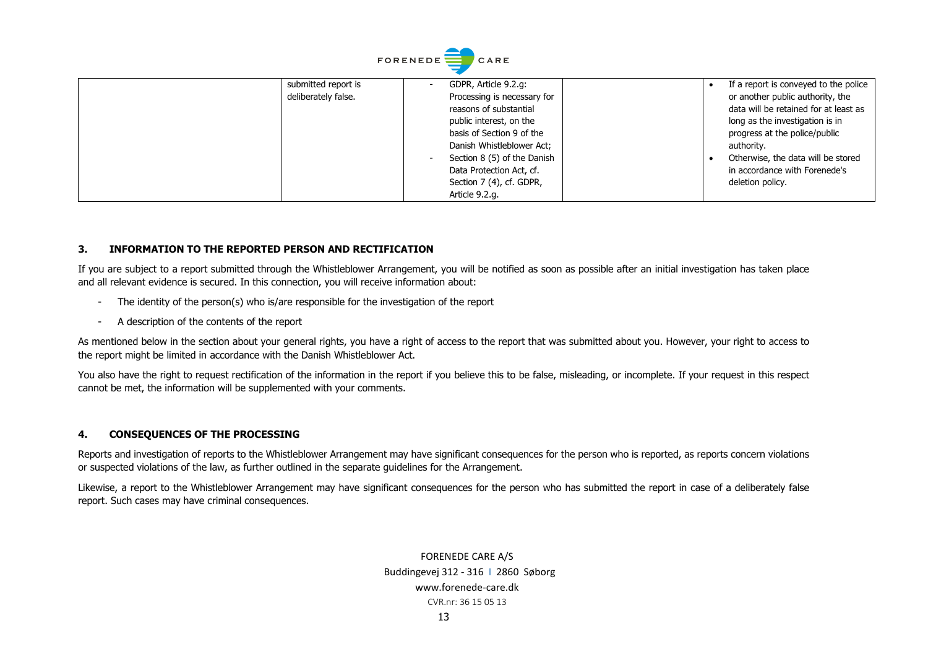|                     | <b>FORENEDE</b><br>CARE     |                                       |
|---------------------|-----------------------------|---------------------------------------|
| submitted report is | GDPR, Article 9.2.g:        | If a report is conveyed to the police |
| deliberately false. | Processing is necessary for | or another public authority, the      |
|                     | reasons of substantial      | data will be retained for at least as |
|                     | public interest, on the     | long as the investigation is in       |
|                     | basis of Section 9 of the   | progress at the police/public         |
|                     | Danish Whistleblower Act;   | authority.                            |
|                     | Section 8 (5) of the Danish | Otherwise, the data will be stored    |
|                     | Data Protection Act, cf.    | in accordance with Forenede's         |
|                     | Section 7 (4), cf. GDPR,    | deletion policy.                      |
|                     | Article 9.2.g.              |                                       |

#### **3. INFORMATION TO THE REPORTED PERSON AND RECTIFICATION**

If you are subject to a report submitted through the Whistleblower Arrangement, you will be notified as soon as possible after an initial investigation has taken place and all relevant evidence is secured. In this connection, you will receive information about:

- The identity of the person(s) who is/are responsible for the investigation of the report
- A description of the contents of the report

As mentioned below in the section about your general rights, you have a right of access to the report that was submitted about you. However, your right to access to the report might be limited in accordance with the Danish Whistleblower Act.

You also have the right to request rectification of the information in the report if you believe this to be false, misleading, or incomplete. If your request in this respect cannot be met, the information will be supplemented with your comments.

#### **4. CONSEQUENCES OF THE PROCESSING**

Reports and investigation of reports to the Whistleblower Arrangement may have significant consequences for the person who is reported, as reports concern violations or suspected violations of the law, as further outlined in the separate guidelines for the Arrangement.

Likewise, a report to the Whistleblower Arrangement may have significant consequences for the person who has submitted the report in case of a deliberately false report. Such cases may have criminal consequences.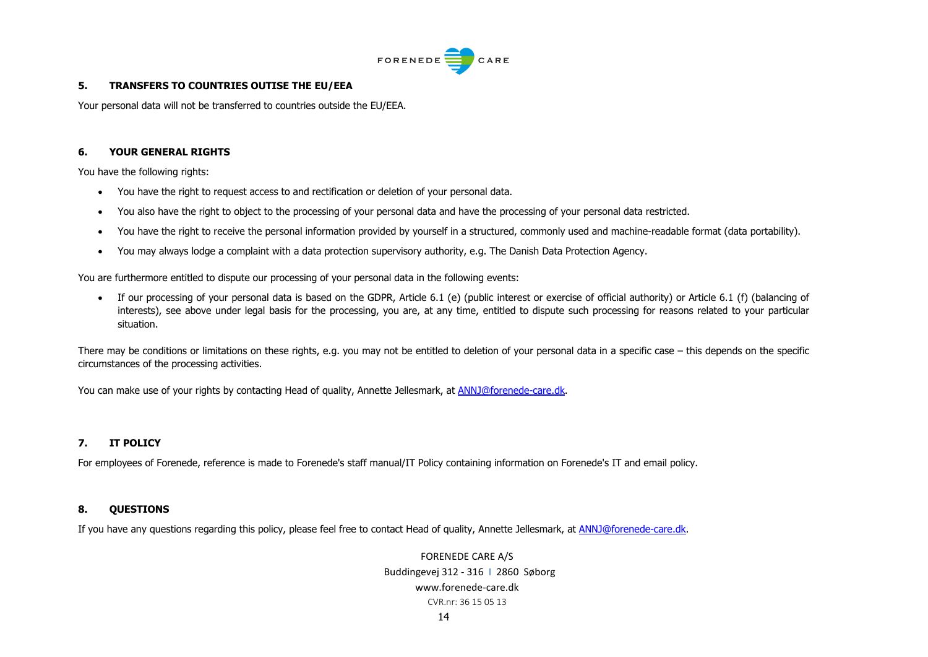

#### **5. TRANSFERS TO COUNTRIES OUTISE THE EU/EEA**

Your personal data will not be transferred to countries outside the EU/EEA.

## **6. YOUR GENERAL RIGHTS**

You have the following rights:

- You have the right to request access to and rectification or deletion of your personal data.
- You also have the right to object to the processing of your personal data and have the processing of your personal data restricted.
- You have the right to receive the personal information provided by yourself in a structured, commonly used and machine-readable format (data portability).
- You may always lodge a complaint with a data protection supervisory authority, e.g. The Danish Data Protection Agency.

You are furthermore entitled to dispute our processing of your personal data in the following events:

• If our processing of your personal data is based on the GDPR, Article 6.1 (e) (public interest or exercise of official authority) or Article 6.1 (f) (balancing of interests), see above under legal basis for the processing, you are, at any time, entitled to dispute such processing for reasons related to your particular situation.

There may be conditions or limitations on these rights, e.g. you may not be entitled to deletion of your personal data in a specific case – this depends on the specific circumstances of the processing activities.

You can make use of your rights by contacting Head of quality, Annette Jellesmark, at [ANNJ@forenede-care.dk.](mailto:ANNJ@forenede-care.dk)

# **7. IT POLICY**

For employees of Forenede, reference is made to Forenede's staff manual/IT Policy containing information on Forenede's IT and email policy.

## **8. QUESTIONS**

If you have any questions regarding this policy, please feel free to contact Head of quality, Annette Jellesmark, at [ANNJ@forenede-care.dk.](mailto:ANNJ@forenede-care.dk)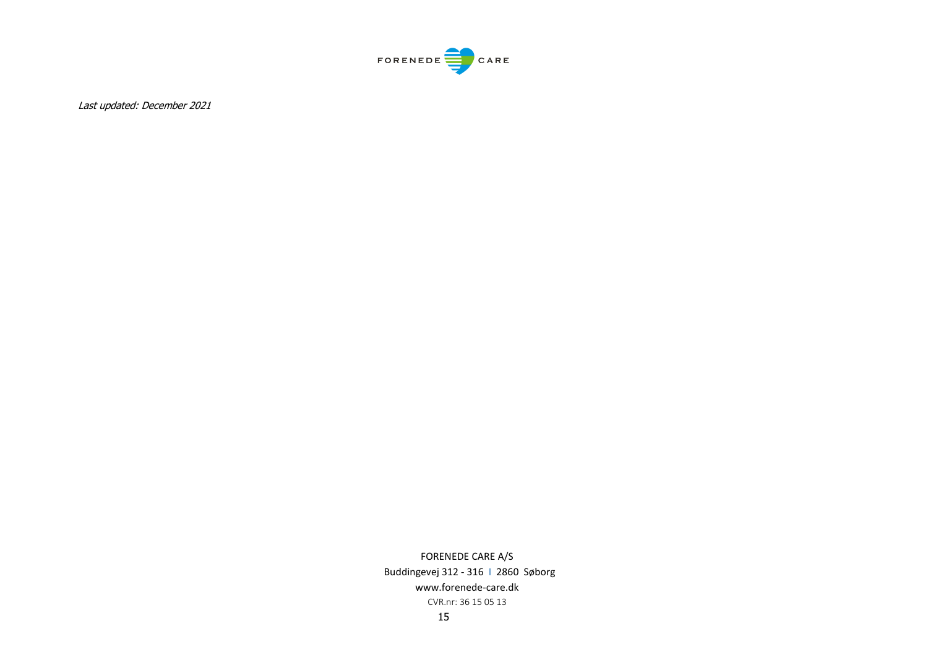

Last updated: December 2021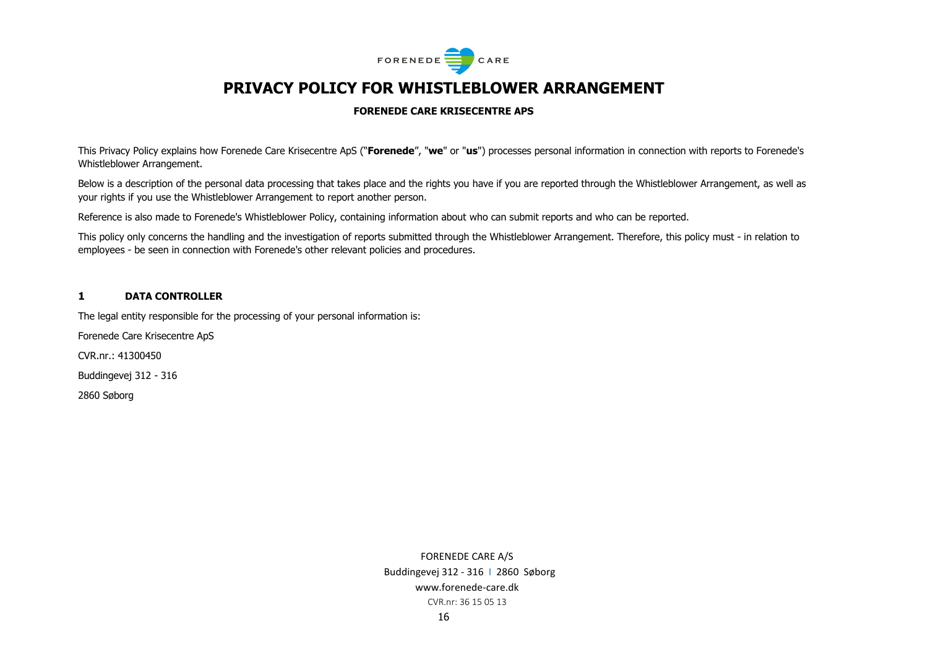

# **PRIVACY POLICY FOR WHISTLEBLOWER ARRANGEMENT**

#### **FORENEDE CARE KRISECENTRE APS**

This Privacy Policy explains how Forenede Care Krisecentre ApS ("**Forenede**", "**we**" or "**us**") processes personal information in connection with reports to Forenede's Whistleblower Arrangement.

Below is a description of the personal data processing that takes place and the rights you have if you are reported through the Whistleblower Arrangement, as well as your rights if you use the Whistleblower Arrangement to report another person.

Reference is also made to Forenede's Whistleblower Policy, containing information about who can submit reports and who can be reported.

This policy only concerns the handling and the investigation of reports submitted through the Whistleblower Arrangement. Therefore, this policy must - in relation to employees - be seen in connection with Forenede's other relevant policies and procedures.

#### **1 DATA CONTROLLER**

The legal entity responsible for the processing of your personal information is:

Forenede Care Krisecentre ApS

CVR.nr.: 41300450

Buddingevej 312 - 316

2860 Søborg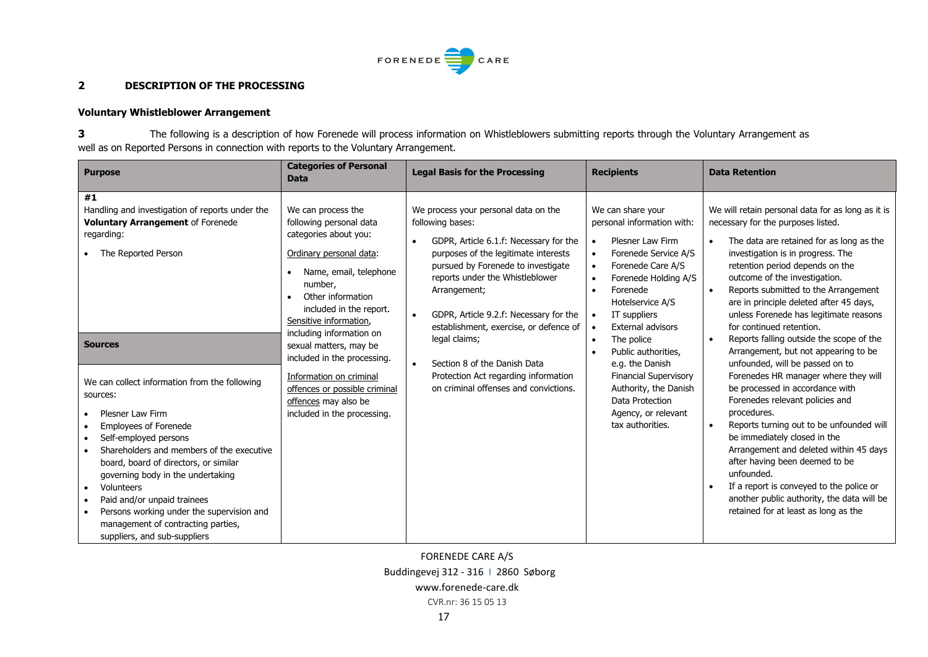

#### **2 DESCRIPTION OF THE PROCESSING**

## **Voluntary Whistleblower Arrangement**

**3** The following is a description of how Forenede will process information on Whistleblowers submitting reports through the Voluntary Arrangement as well as on Reported Persons in connection with reports to the Voluntary Arrangement.

| <b>Purpose</b>                                                                                                                                                                                                                                                                                                                                                                                                                               | <b>Categories of Personal</b><br><b>Data</b>                                                                                                                                                                                                                                                                                                                                                                             | <b>Legal Basis for the Processing</b>                                                                                                                                                                                                                                                                                                                                                                                                                                                            | <b>Recipients</b>                                                                                                                                                                                                                                                                                                                                                                            | <b>Data Retention</b>                                                                                                                                                                                                                                                                                                                                                                                                                                                                                                                                                                                                                                                                                                                                                                                                                                                                                                                                                          |
|----------------------------------------------------------------------------------------------------------------------------------------------------------------------------------------------------------------------------------------------------------------------------------------------------------------------------------------------------------------------------------------------------------------------------------------------|--------------------------------------------------------------------------------------------------------------------------------------------------------------------------------------------------------------------------------------------------------------------------------------------------------------------------------------------------------------------------------------------------------------------------|--------------------------------------------------------------------------------------------------------------------------------------------------------------------------------------------------------------------------------------------------------------------------------------------------------------------------------------------------------------------------------------------------------------------------------------------------------------------------------------------------|----------------------------------------------------------------------------------------------------------------------------------------------------------------------------------------------------------------------------------------------------------------------------------------------------------------------------------------------------------------------------------------------|--------------------------------------------------------------------------------------------------------------------------------------------------------------------------------------------------------------------------------------------------------------------------------------------------------------------------------------------------------------------------------------------------------------------------------------------------------------------------------------------------------------------------------------------------------------------------------------------------------------------------------------------------------------------------------------------------------------------------------------------------------------------------------------------------------------------------------------------------------------------------------------------------------------------------------------------------------------------------------|
| #1<br>Handling and investigation of reports under the<br><b>Voluntary Arrangement of Forenede</b><br>regarding:<br>The Reported Person                                                                                                                                                                                                                                                                                                       | We can process the<br>following personal data<br>categories about you:<br>Ordinary personal data:<br>Name, email, telephone<br>number,<br>Other information<br>included in the report.<br>Sensitive information.<br>including information on<br>sexual matters, may be<br>included in the processing.<br>Information on criminal<br>offences or possible criminal<br>offences may also be<br>included in the processing. | We process your personal data on the<br>following bases:<br>GDPR, Article 6.1.f: Necessary for the<br>$\bullet$<br>purposes of the legitimate interests<br>pursued by Forenede to investigate<br>reports under the Whistleblower<br>Arrangement;<br>GDPR, Article 9.2.f: Necessary for the<br>$\bullet$<br>establishment, exercise, or defence of<br>legal claims;<br>Section 8 of the Danish Data<br>$\bullet$<br>Protection Act regarding information<br>on criminal offenses and convictions. | We can share your<br>personal information with:<br>Plesner Law Firm<br>Forenede Service A/S<br>Forenede Care A/S<br>Forenede Holding A/S<br>Forenede<br>Hotelservice A/S<br>IT suppliers<br>External advisors<br>The police<br>Public authorities,<br>e.g. the Danish<br><b>Financial Supervisory</b><br>Authority, the Danish<br>Data Protection<br>Agency, or relevant<br>tax authorities. | We will retain personal data for as long as it is<br>necessary for the purposes listed.<br>The data are retained for as long as the<br>investigation is in progress. The<br>retention period depends on the<br>outcome of the investigation.<br>Reports submitted to the Arrangement<br>$\bullet$<br>are in principle deleted after 45 days,<br>unless Forenede has legitimate reasons<br>for continued retention.<br>Reports falling outside the scope of the<br>Arrangement, but not appearing to be<br>unfounded, will be passed on to<br>Forenedes HR manager where they will<br>be processed in accordance with<br>Forenedes relevant policies and<br>procedures.<br>Reports turning out to be unfounded will<br>be immediately closed in the<br>Arrangement and deleted within 45 days<br>after having been deemed to be<br>unfounded.<br>If a report is conveyed to the police or<br>another public authority, the data will be<br>retained for at least as long as the |
| <b>Sources</b><br>We can collect information from the following<br>sources:<br>Plesner Law Firm<br>Employees of Forenede<br>Self-employed persons<br>Shareholders and members of the executive<br>board, board of directors, or similar<br>governing body in the undertaking<br>Volunteers<br>Paid and/or unpaid trainees<br>Persons working under the supervision and<br>management of contracting parties,<br>suppliers, and sub-suppliers |                                                                                                                                                                                                                                                                                                                                                                                                                          |                                                                                                                                                                                                                                                                                                                                                                                                                                                                                                  |                                                                                                                                                                                                                                                                                                                                                                                              |                                                                                                                                                                                                                                                                                                                                                                                                                                                                                                                                                                                                                                                                                                                                                                                                                                                                                                                                                                                |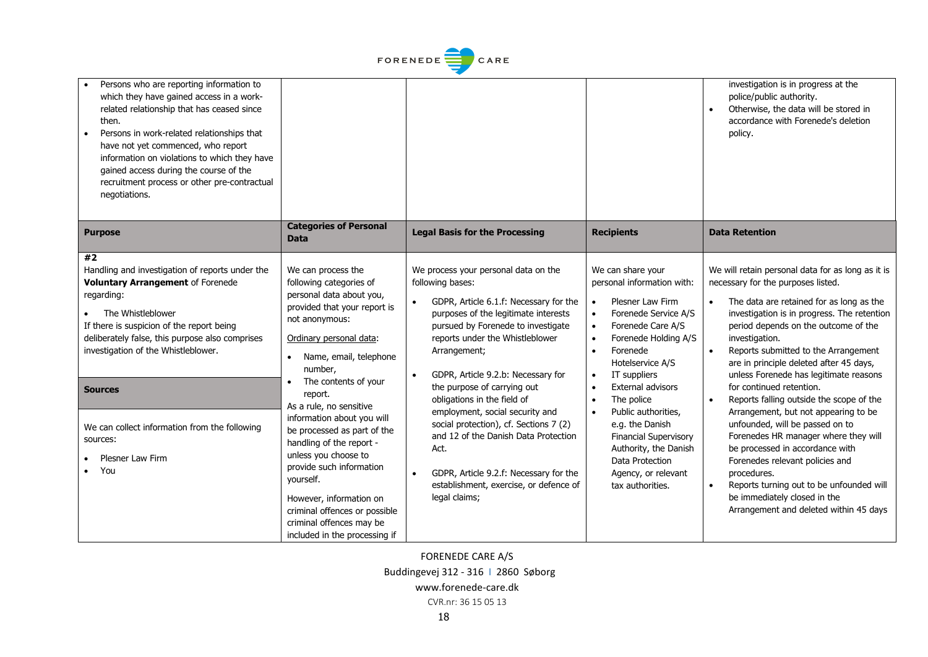| FORENEDE <sup>-</sup><br>CARE                                                                                                                                                                                                                                                                                                                                                                      |                                                                                                                                                                                                                                                                                                                                                                                                                                                                                                             |                                                                                                                                                                                                                                                                                                                                                                                                                                                                                                                                                                           |                                                                                                                                                                                                                                                                                                                                                                                                                                                                            |                                                                                                                                                                                                                                                                                                                                                                                                                                                                                                                                                                                                                                                                                                                                                                                                                                     |
|----------------------------------------------------------------------------------------------------------------------------------------------------------------------------------------------------------------------------------------------------------------------------------------------------------------------------------------------------------------------------------------------------|-------------------------------------------------------------------------------------------------------------------------------------------------------------------------------------------------------------------------------------------------------------------------------------------------------------------------------------------------------------------------------------------------------------------------------------------------------------------------------------------------------------|---------------------------------------------------------------------------------------------------------------------------------------------------------------------------------------------------------------------------------------------------------------------------------------------------------------------------------------------------------------------------------------------------------------------------------------------------------------------------------------------------------------------------------------------------------------------------|----------------------------------------------------------------------------------------------------------------------------------------------------------------------------------------------------------------------------------------------------------------------------------------------------------------------------------------------------------------------------------------------------------------------------------------------------------------------------|-------------------------------------------------------------------------------------------------------------------------------------------------------------------------------------------------------------------------------------------------------------------------------------------------------------------------------------------------------------------------------------------------------------------------------------------------------------------------------------------------------------------------------------------------------------------------------------------------------------------------------------------------------------------------------------------------------------------------------------------------------------------------------------------------------------------------------------|
| Persons who are reporting information to<br>which they have gained access in a work-<br>related relationship that has ceased since<br>then.<br>Persons in work-related relationships that<br>have not yet commenced, who report<br>information on violations to which they have<br>gained access during the course of the<br>recruitment process or other pre-contractual<br>negotiations.         |                                                                                                                                                                                                                                                                                                                                                                                                                                                                                                             |                                                                                                                                                                                                                                                                                                                                                                                                                                                                                                                                                                           |                                                                                                                                                                                                                                                                                                                                                                                                                                                                            | investigation is in progress at the<br>police/public authority.<br>Otherwise, the data will be stored in<br>accordance with Forenede's deletion<br>policy.                                                                                                                                                                                                                                                                                                                                                                                                                                                                                                                                                                                                                                                                          |
| <b>Purpose</b>                                                                                                                                                                                                                                                                                                                                                                                     | <b>Categories of Personal</b><br><b>Data</b>                                                                                                                                                                                                                                                                                                                                                                                                                                                                | <b>Legal Basis for the Processing</b>                                                                                                                                                                                                                                                                                                                                                                                                                                                                                                                                     | <b>Recipients</b>                                                                                                                                                                                                                                                                                                                                                                                                                                                          | <b>Data Retention</b>                                                                                                                                                                                                                                                                                                                                                                                                                                                                                                                                                                                                                                                                                                                                                                                                               |
| #2<br>Handling and investigation of reports under the<br>Voluntary Arrangement of Forenede<br>regarding:<br>The Whistleblower<br>If there is suspicion of the report being<br>deliberately false, this purpose also comprises<br>investigation of the Whistleblower.<br><b>Sources</b><br>We can collect information from the following<br>sources:<br><b>Plesner Law Firm</b><br>You<br>$\bullet$ | We can process the<br>following categories of<br>personal data about you,<br>provided that your report is<br>not anonymous:<br>Ordinary personal data:<br>Name, email, telephone<br>number,<br>The contents of your<br>report.<br>As a rule, no sensitive<br>information about you will<br>be processed as part of the<br>handling of the report -<br>unless you choose to<br>provide such information<br>yourself.<br>However, information on<br>criminal offences or possible<br>criminal offences may be | We process your personal data on the<br>following bases:<br>GDPR, Article 6.1.f: Necessary for the<br>purposes of the legitimate interests<br>pursued by Forenede to investigate<br>reports under the Whistleblower<br>Arrangement;<br>GDPR, Article 9.2.b: Necessary for<br>the purpose of carrying out<br>obligations in the field of<br>employment, social security and<br>social protection), cf. Sections 7 (2)<br>and 12 of the Danish Data Protection<br>Act.<br>GDPR, Article 9.2.f: Necessary for the<br>establishment, exercise, or defence of<br>legal claims; | We can share your<br>personal information with:<br>Plesner Law Firm<br>Forenede Service A/S<br>Forenede Care A/S<br>Forenede Holding A/S<br>$\bullet$<br>Forenede<br>$\bullet$<br>Hotelservice A/S<br>IT suppliers<br>$\bullet$<br>External advisors<br>$\bullet$<br>The police<br>$\bullet$<br>Public authorities,<br>$\bullet$<br>e.g. the Danish<br><b>Financial Supervisory</b><br>Authority, the Danish<br>Data Protection<br>Agency, or relevant<br>tax authorities. | We will retain personal data for as long as it is<br>necessary for the purposes listed.<br>The data are retained for as long as the<br>$\bullet$<br>investigation is in progress. The retention<br>period depends on the outcome of the<br>investigation.<br>Reports submitted to the Arrangement<br>$\bullet$<br>are in principle deleted after 45 days,<br>unless Forenede has legitimate reasons<br>for continued retention.<br>Reports falling outside the scope of the<br>$\bullet$<br>Arrangement, but not appearing to be<br>unfounded, will be passed on to<br>Forenedes HR manager where they will<br>be processed in accordance with<br>Forenedes relevant policies and<br>procedures.<br>Reports turning out to be unfounded will<br>$\bullet$<br>be immediately closed in the<br>Arrangement and deleted within 45 days |

 $\begin{array}{c} \begin{array}{c} \begin{array}{c} \end{array} \\ \begin{array}{c} \end{array} \end{array} \end{array}$ 

FORENEDE CARE A/S Buddingevej 312 - 316 I 2860 Søborg www.forenede-care.dk

CVR.nr: 36 15 05 13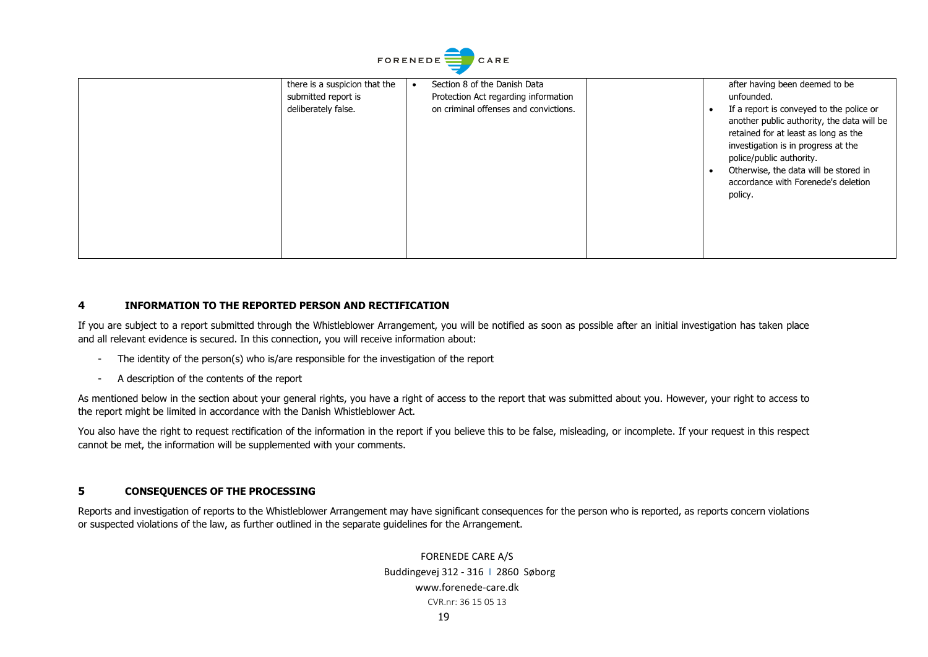| there is a suspicion that the<br>submitted report is<br>deliberately false. | Section 8 of the Danish Data<br>Protection Act regarding information<br>on criminal offenses and convictions. | after having been deemed to be<br>unfounded.<br>If a report is conveyed to the police or<br>another public authority, the data will be<br>retained for at least as long as the<br>investigation is in progress at the<br>police/public authority.<br>Otherwise, the data will be stored in<br>accordance with Forenede's deletion |
|-----------------------------------------------------------------------------|---------------------------------------------------------------------------------------------------------------|-----------------------------------------------------------------------------------------------------------------------------------------------------------------------------------------------------------------------------------------------------------------------------------------------------------------------------------|
|                                                                             |                                                                                                               | policy.                                                                                                                                                                                                                                                                                                                           |

#### **4 INFORMATION TO THE REPORTED PERSON AND RECTIFICATION**

If you are subject to a report submitted through the Whistleblower Arrangement, you will be notified as soon as possible after an initial investigation has taken place and all relevant evidence is secured. In this connection, you will receive information about:

- The identity of the person(s) who is/are responsible for the investigation of the report
- A description of the contents of the report

As mentioned below in the section about your general rights, you have a right of access to the report that was submitted about you. However, your right to access to the report might be limited in accordance with the Danish Whistleblower Act.

You also have the right to request rectification of the information in the report if you believe this to be false, misleading, or incomplete. If your request in this respect cannot be met, the information will be supplemented with your comments.

## **5 CONSEQUENCES OF THE PROCESSING**

Reports and investigation of reports to the Whistleblower Arrangement may have significant consequences for the person who is reported, as reports concern violations or suspected violations of the law, as further outlined in the separate guidelines for the Arrangement.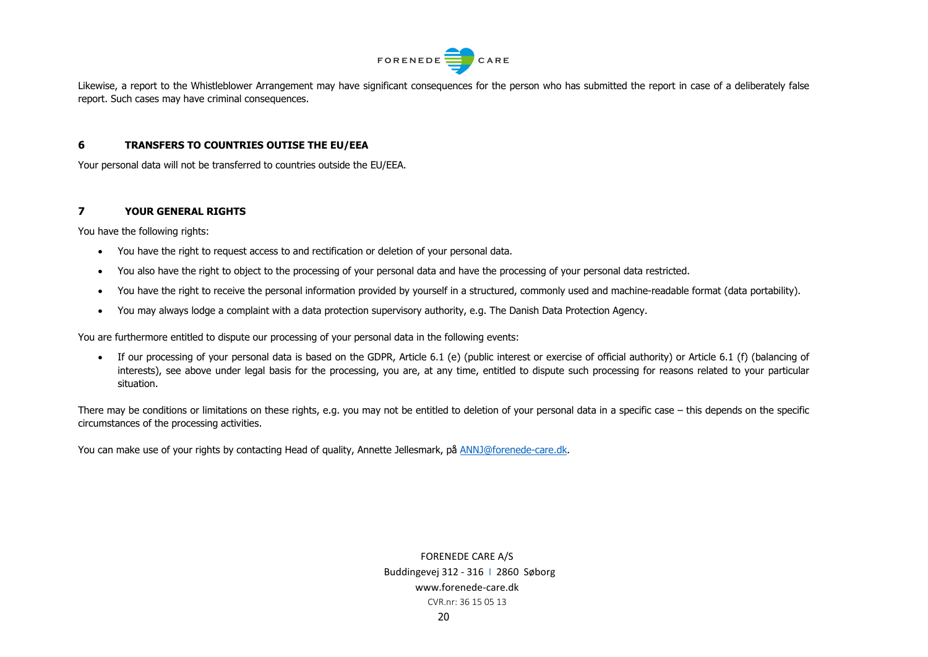

Likewise, a report to the Whistleblower Arrangement may have significant consequences for the person who has submitted the report in case of a deliberately false report. Such cases may have criminal consequences.

#### **6 TRANSFERS TO COUNTRIES OUTISE THE EU/EEA**

Your personal data will not be transferred to countries outside the EU/EEA.

#### **7 YOUR GENERAL RIGHTS**

You have the following rights:

- You have the right to request access to and rectification or deletion of your personal data.
- You also have the right to object to the processing of your personal data and have the processing of your personal data restricted.
- You have the right to receive the personal information provided by yourself in a structured, commonly used and machine-readable format (data portability).
- You may always lodge a complaint with a data protection supervisory authority, e.g. The Danish Data Protection Agency.

You are furthermore entitled to dispute our processing of your personal data in the following events:

• If our processing of your personal data is based on the GDPR, Article 6.1 (e) (public interest or exercise of official authority) or Article 6.1 (f) (balancing of interests), see above under legal basis for the processing, you are, at any time, entitled to dispute such processing for reasons related to your particular situation.

There may be conditions or limitations on these rights, e.g. you may not be entitled to deletion of your personal data in a specific case – this depends on the specific circumstances of the processing activities.

You can make use of your rights by contacting Head of quality, Annette Jellesmark, på [ANNJ@forenede-care.dk.](mailto:ANNJ@forenede-care.dk)